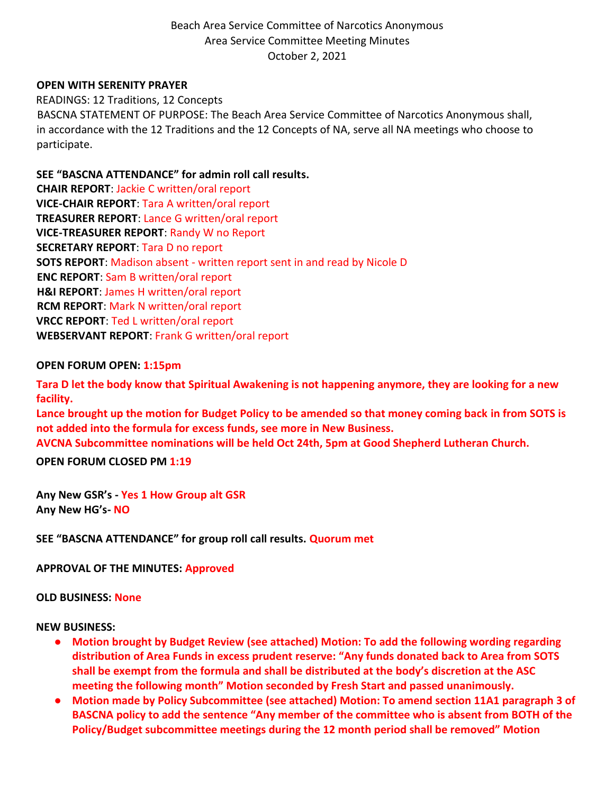## **OPEN WITH SERENITY PRAYER**

READINGS: 12 Traditions, 12 Concepts BASCNA STATEMENT OF PURPOSE: The Beach Area Service Committee of Narcotics Anonymous shall, in accordance with the 12 Traditions and the 12 Concepts of NA, serve all NA meetings who choose to participate.

## **SEE "BASCNA ATTENDANCE" for admin roll call results.**

**CHAIR REPORT**: Jackie C written/oral report **VICE-CHAIR REPORT**: Tara A written/oral report **TREASURER REPORT**: Lance G written/oral report **VICE-TREASURER REPORT**: Randy W no Report **SECRETARY REPORT**: Tara D no report **SOTS REPORT**: Madison absent - written report sent in and read by Nicole D **ENC REPORT**: Sam B written/oral report **H&I REPORT**: James H written/oral report **RCM REPORT**: Mark N written/oral report **VRCC REPORT**: Ted L written/oral report **WEBSERVANT REPORT**: Frank G written/oral report

### **OPEN FORUM OPEN: 1:15pm**

**Tara D let the body know that Spiritual Awakening is not happening anymore, they are looking for a new facility.** 

**Lance brought up the motion for Budget Policy to be amended so that money coming back in from SOTS is not added into the formula for excess funds, see more in New Business.** 

**AVCNA Subcommittee nominations will be held Oct 24th, 5pm at Good Shepherd Lutheran Church.**

**OPEN FORUM CLOSED PM 1:19**

**Any New GSR's - Yes 1 How Group alt GSR Any New HG's- NO** 

**SEE "BASCNA ATTENDANCE" for group roll call results. Quorum met** 

**APPROVAL OF THE MINUTES: Approved** 

### **OLD BUSINESS: None**

## **NEW BUSINESS:**

- **Motion brought by Budget Review (see attached) Motion: To add the following wording regarding distribution of Area Funds in excess prudent reserve: "Any funds donated back to Area from SOTS shall be exempt from the formula and shall be distributed at the body's discretion at the ASC meeting the following month" Motion seconded by Fresh Start and passed unanimously.**
- **Motion made by Policy Subcommittee (see attached) Motion: To amend section 11A1 paragraph 3 of BASCNA policy to add the sentence "Any member of the committee who is absent from BOTH of the Policy/Budget subcommittee meetings during the 12 month period shall be removed" Motion**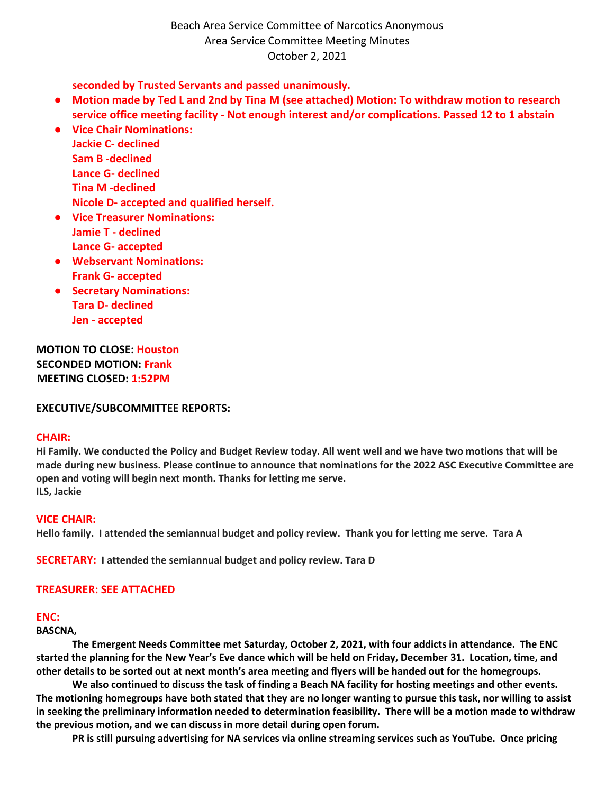**seconded by Trusted Servants and passed unanimously.**

- **Motion made by Ted L and 2nd by Tina M (see attached) Motion: To withdraw motion to research service office meeting facility - Not enough interest and/or complications. Passed 12 to 1 abstain**
- **Vice Chair Nominations: Jackie C- declined Sam B -declined Lance G- declined Tina M -declined Nicole D- accepted and qualified herself.**
- **Vice Treasurer Nominations: Jamie T - declined Lance G- accepted**
- **Webservant Nominations: Frank G- accepted**
- **Secretary Nominations: Tara D- declined Jen - accepted**

**MOTION TO CLOSE: Houston SECONDED MOTION: Frank MEETING CLOSED: 1:52PM**

**EXECUTIVE/SUBCOMMITTEE REPORTS:**

### **CHAIR:**

**Hi Family. We conducted the Policy and Budget Review today. All went well and we have two motions that will be made during new business. Please continue to announce that nominations for the 2022 ASC Executive Committee are open and voting will begin next month. Thanks for letting me serve. ILS, Jackie**

### **VICE CHAIR:**

**Hello family. I attended the semiannual budget and policy review. Thank you for letting me serve. Tara A**

**SECRETARY: I attended the semiannual budget and policy review. Tara D**

## **TREASURER: SEE ATTACHED**

## **ENC:**

**BASCNA,** 

 **The Emergent Needs Committee met Saturday, October 2, 2021, with four addicts in attendance. The ENC started the planning for the New Year's Eve dance which will be held on Friday, December 31. Location, time, and other details to be sorted out at next month's area meeting and flyers will be handed out for the homegroups.**

 **We also continued to discuss the task of finding a Beach NA facility for hosting meetings and other events. The motioning homegroups have both stated that they are no longer wanting to pursue this task, nor willing to assist in seeking the preliminary information needed to determination feasibility. There will be a motion made to withdraw the previous motion, and we can discuss in more detail during open forum.**

 **PR is still pursuing advertising for NA services via online streaming services such as YouTube. Once pricing**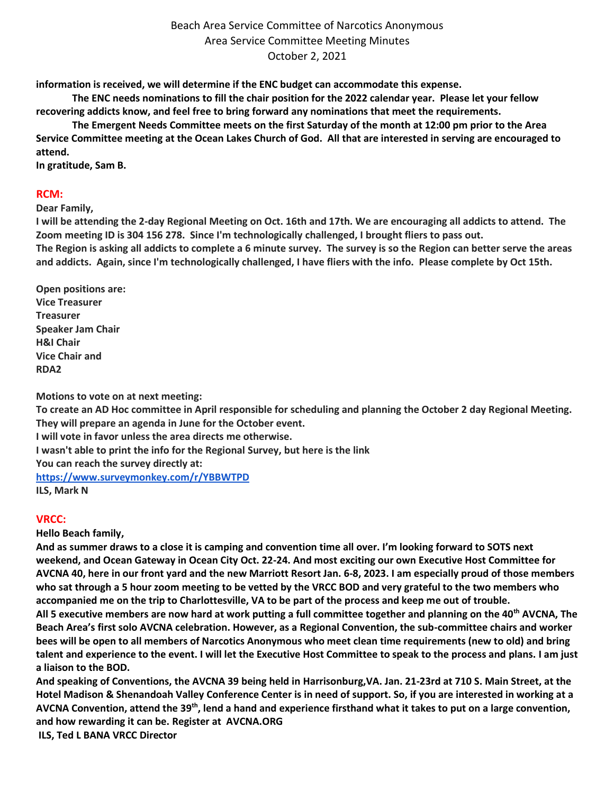**information is received, we will determine if the ENC budget can accommodate this expense.**

 **The ENC needs nominations to fill the chair position for the 2022 calendar year. Please let your fellow recovering addicts know, and feel free to bring forward any nominations that meet the requirements.**

 **The Emergent Needs Committee meets on the first Saturday of the month at 12:00 pm prior to the Area Service Committee meeting at the Ocean Lakes Church of God. All that are interested in serving are encouraged to attend.**

**In gratitude, Sam B.**

## **RCM:**

## **Dear Family,**

**I will be attending the 2-day Regional Meeting on Oct. 16th and 17th. We are encouraging all addicts to attend. The Zoom meeting ID is 304 156 278. Since I'm technologically challenged, I brought fliers to pass out. The Region is asking all addicts to complete a 6 minute survey. The survey is so the Region can better serve the areas and addicts. Again, since I'm technologically challenged, I have fliers with the info. Please complete by Oct 15th.**

**Open positions are: Vice Treasurer Treasurer Speaker Jam Chair H&I Chair Vice Chair and RDA2**

**Motions to vote on at next meeting:**

**To create an AD Hoc committee in April responsible for scheduling and planning the October 2 day Regional Meeting. They will prepare an agenda in June for the October event.** 

**I will vote in favor unless the area directs me otherwise.**

**I wasn't able to print the info for the Regional Survey, but here is the link** 

**You can reach the survey directly at:**

**<https://www.surveymonkey.com/r/YBBWTPD>**

**ILS, Mark N**

## **VRCC:**

**Hello Beach family,**

**And as summer draws to a close it is camping and convention time all over. I'm looking forward to SOTS next weekend, and Ocean Gateway in Ocean City Oct. 22-24. And most exciting our own Executive Host Committee for AVCNA 40, here in our front yard and the new Marriott Resort Jan. 6-8, 2023. I am especially proud of those members who sat through a 5 hour zoom meeting to be vetted by the VRCC BOD and very grateful to the two members who accompanied me on the trip to Charlottesville, VA to be part of the process and keep me out of trouble.**

**All 5 executive members are now hard at work putting a full committee together and planning on the 40th AVCNA, The Beach Area's first solo AVCNA celebration. However, as a Regional Convention, the sub-committee chairs and worker bees will be open to all members of Narcotics Anonymous who meet clean time requirements (new to old) and bring talent and experience to the event. I will let the Executive Host Committee to speak to the process and plans. I am just a liaison to the BOD.** 

**And speaking of Conventions, the AVCNA 39 being held in Harrisonburg,VA. Jan. 21-23rd at 710 S. Main Street, at the Hotel Madison & Shenandoah Valley Conference Center is in need of support. So, if you are interested in working at a AVCNA Convention, attend the 39th, lend a hand and experience firsthand what it takes to put on a large convention, and how rewarding it can be. Register at AVCNA.ORG**

**ILS, Ted L BANA VRCC Director**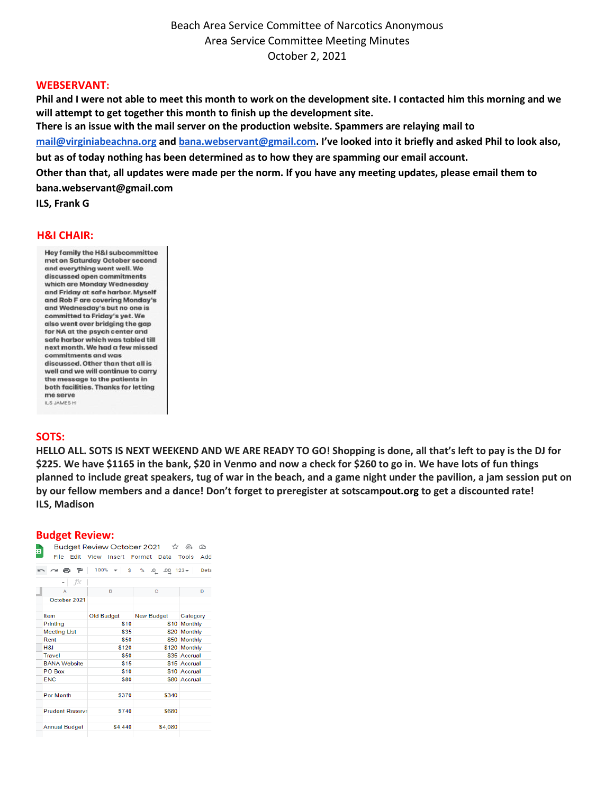#### **WEBSERVANT:**

**Phil and I were not able to meet this month to work on the development site. I contacted him this morning and we will attempt to get together this month to finish up the development site. There is an issue with the mail server on the production website. Spammers are relaying mail to [mail@virginiabeachna.org](mailto:mail@virginiabeachna.org) and [bana.webservant@gmail.com](mailto:bana.webservant@gmail.com). I've looked into it briefly and asked Phil to look also, but as of today nothing has been determined as to how they are spamming our email account. Other than that, all updates were made per the norm. If you have any meeting updates, please email them to bana.webservant@gmail.com**

**ILS, Frank G**

#### **H&I CHAIR:**

Hey family the H&I subcommittee met on Saturday October second and everything went well. We discussed open commitments which are Monday Wednesday and Friday at safe harbor. Myself and Rob F are covering Monday's and Wednesday's but no one is committed to Friday's yet. We also went over bridaing the ago for NA at the psych center and safe harbor which was tabled till next month. We had a few missed commitments and was discussed. Other than that all is well and we will continue to carry the message to the patients in both facilities. Thanks for letting me serve ILS JAMES H

#### **SOTS:**

**HELLO ALL. SOTS IS NEXT WEEKEND AND WE ARE READY TO GO! Shopping is done, all that's left to pay is the DJ for \$225. We have \$1165 in the bank, \$20 in Venmo and now a check for \$260 to go in. We have lots of fun things planned to include great speakers, tug of war in the beach, and a game night under the pavilion, a jam session put on by our fellow members and a dance! Don't forget to preregister at sotscampout.org to get a discounted rate! ILS, Madison**

### **Budget Review:**

| F |                        |                   | Budget Review October 2021 ☆ @ © |               |
|---|------------------------|-------------------|----------------------------------|---------------|
|   | File                   | Edit View         | Insert Format Data Tools         | Add           |
|   | $\sim$ 8 $\,$ 7 $\,$   | $100\% - S$       | % $.0$ $.00$ 123 $\star$         | Defa          |
|   | fx                     |                   |                                  |               |
|   | А                      | в                 | Ċ                                | D             |
|   | October 2021           |                   |                                  |               |
|   |                        |                   |                                  |               |
|   | <b>Item</b>            | <b>Old Budget</b> | <b>New Budget</b>                | Category      |
|   | Printing               | \$10              |                                  | \$10 Monthly  |
|   | <b>Meeting List</b>    | \$35              |                                  | \$20 Monthly  |
|   | Rent                   | \$50              |                                  | \$50 Monthly  |
|   | <b>H&amp;I</b>         | \$120             |                                  | \$120 Monthly |
|   | Travel                 | \$50              |                                  | \$35 Accrual  |
|   | <b>BANA Website</b>    | \$15              |                                  | \$15 Accrual  |
|   | PO Box                 | \$10              |                                  | \$10 Accrual  |
|   | <b>FNC</b>             | \$80              |                                  | \$80 Accrual  |
|   |                        |                   |                                  |               |
|   | <b>Per Month</b>       | \$370             | \$340                            |               |
|   |                        |                   |                                  |               |
|   | <b>Prudent Reserve</b> | \$740             | \$680                            |               |
|   |                        |                   |                                  |               |
|   | <b>Annual Budget</b>   | \$4,440           | \$4.080                          |               |
|   |                        |                   |                                  |               |